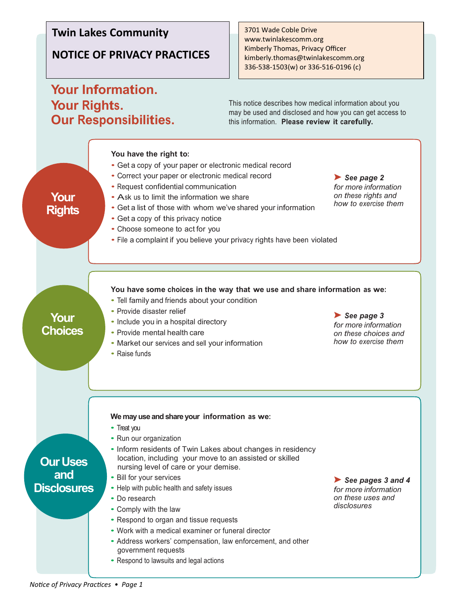# **Twin Lakes Community**

## **NOTICE OF PRIVACY PRACTICES**

#### 3701 Wade Coble Drive www.twinlakescomm.org Kimberly Thomas, Privacy Officer kimberly.thomas@twinlakescomm.org 336-538-1503(w) or 336-516-0196 (c)

# **Your Information. Your Rights. Our Responsibilities.**

This notice describes how medical information about you may be used and disclosed and how you can get access to this information. **Please review it carefully.**

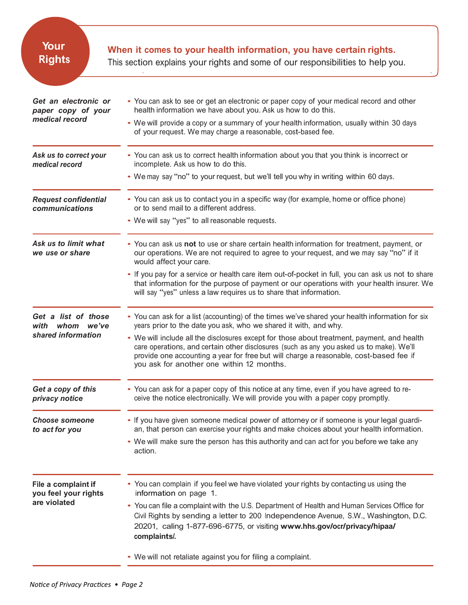| Your<br><b>Rights</b>                                              | When it comes to your health information, you have certain rights.<br>This section explains your rights and some of our responsibilities to help you.                                                                                                                                                                                                                                                                                                                                                 |
|--------------------------------------------------------------------|-------------------------------------------------------------------------------------------------------------------------------------------------------------------------------------------------------------------------------------------------------------------------------------------------------------------------------------------------------------------------------------------------------------------------------------------------------------------------------------------------------|
| Get an electronic or<br>paper copy of your<br>medical record       | • You can ask to see or get an electronic or paper copy of your medical record and other<br>health information we have about you. Ask us how to do this.<br>• We will provide a copy or a summary of your health information, usually within 30 days<br>of your request. We may charge a reasonable, cost-based fee.                                                                                                                                                                                  |
| Ask us to correct your<br>medical record                           | • You can ask us to correct health information about you that you think is incorrect or<br>incomplete. Ask us how to do this.<br>. We may say "no" to your request, but we'll tell you why in writing within 60 days.                                                                                                                                                                                                                                                                                 |
| <b>Request confidential</b><br>communications                      | • You can ask us to contact you in a specific way (for example, home or office phone)<br>or to send mail to a different address.<br>• We will say "yes" to all reasonable requests.                                                                                                                                                                                                                                                                                                                   |
| Ask us to limit what<br>we use or share                            | • You can ask us not to use or share certain health information for treatment, payment, or<br>our operations. We are not required to agree to your request, and we may say "no" if it<br>would affect your care.<br>. If you pay for a service or health care item out-of-pocket in full, you can ask us not to share<br>that information for the purpose of payment or our operations with your health insurer. We<br>will say "yes" unless a law requires us to share that information.             |
| Get a list of those<br>whom<br>we've<br>with<br>shared information | • You can ask for a list (accounting) of the times we've shared your health information for six<br>years prior to the date you ask, who we shared it with, and why.<br>• We will include all the disclosures except for those about treatment, payment, and health<br>care operations, and certain other disclosures (such as any you asked us to make). We'll<br>provide one accounting a year for free but will charge a reasonable, cost-based fee if<br>you ask for another one within 12 months. |
| Get a copy of this<br>privacy notice                               | - You can ask for a paper copy of this notice at any time, even if you have agreed to re-<br>ceive the notice electronically. We will provide you with a paper copy promptly.                                                                                                                                                                                                                                                                                                                         |
| <b>Choose someone</b><br>to act for you                            | - If you have given someone medical power of attorney or if someone is your legal guardi-<br>an, that person can exercise your rights and make choices about your health information.<br>• We will make sure the person has this authority and can act for you before we take any<br>action.                                                                                                                                                                                                          |
| File a complaint if<br>you feel your rights<br>are violated        | • You can complain if you feel we have violated your rights by contacting us using the<br>information on page 1.<br>• You can file a complaint with the U.S. Department of Health and Human Services Office for<br>Civil Rights by sending a letter to 200 Independence Avenue, S.W., Washington, D.C.<br>20201, calling 1-877-696-6775, or visiting www.hhs.gov/ocr/privacy/hipaa/<br>complaints/.<br>• We will not retaliate against you for filing a complaint.                                    |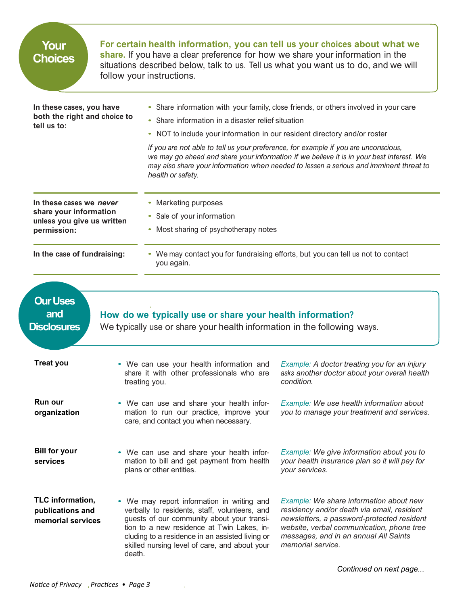#### **Your Choices For certain health information, you can tell us your choices about what we share.** If you have a clear preference for how we share your information in the situations described below, talk to us. Tell us what you want us to do, and we will follow your instructions. **In these cases, you have both the right and choice to tell us to:** • Share information with your family, close friends, or others involved in your care • Share information in a disaster relief situation • NOT to include your information in our resident directory and/or roster *If you are not able to tell us your preference, for example if you are unconscious, we may go ahead and share your information if we believe it is in your best interest. We may also share your information when needed to lessen a serious and imminent threat to health or safety.* **In these cases we** *never*  **share your information unless you give us written permission:** • Marketing purposes • Sale of your information • Most sharing of psychotherapy notes **In the case of fundraising:** • We may contact you for fundraising efforts, but you can tell us not to contact you again. **Our Uses and Disclosures How do we typically use or share your health information?** We typically use or share your health information in the following ways. **Treat you** • We can use your health information and share it with other professionals who are treating you. *Example: A doctor treating you for an injury asks another doctor about your overall health condition.* **Run our organization** • We can use and share your health information to run our practice, improve your care, and contact you when necessary. *Example: We use health information about you to manage your treatment and services.* **Bill for your services** • We can use and share your health information to bill and get payment from health plans or other entities. *Example: We give information about you to your health insurance plan so it will pay for your services.* **TLC information, publications and memorial services** • We may report information in writing and verbally to residents, staff, volunteers, and guests of our community about your transition to a new residence at Twin Lakes, including to a residence in an assisted living or skilled nursing level of care, and about your death. *Example: We share information about new residency and/or death via email, resident newsletters, a password-protected resident website, verbal communication, phone tree messages, and in an annual All Saints memorial service.*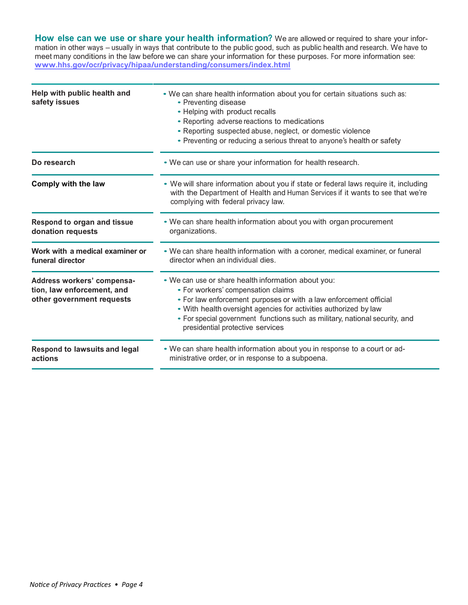**How else can we use or share your health information?** We are allowed or required to share your information in other ways – usually in ways that contribute to the public good, such as public health and research. We have to meet many conditions in the law before we can share your information for these purposes. For more information see: **[www.hhs.gov/ocr/privacy/hipaa/understanding/consumers/index.htm](http://www.hhs.gov/ocr/privacy/hipaa/understanding/consumers/index.html)l**

| Help with public health and<br>safety issues                                          | . We can share health information about you for certain situations such as:<br>• Preventing disease<br>• Helping with product recalls<br>• Reporting adverse reactions to medications<br>• Reporting suspected abuse, neglect, or domestic violence<br>• Preventing or reducing a serious threat to anyone's health or safety                          |
|---------------------------------------------------------------------------------------|--------------------------------------------------------------------------------------------------------------------------------------------------------------------------------------------------------------------------------------------------------------------------------------------------------------------------------------------------------|
| Do research                                                                           | . We can use or share your information for health research.                                                                                                                                                                                                                                                                                            |
| Comply with the law                                                                   | • We will share information about you if state or federal laws require it, including<br>with the Department of Health and Human Services if it wants to see that we're<br>complying with federal privacy law.                                                                                                                                          |
| Respond to organ and tissue<br>donation requests                                      | . We can share health information about you with organ procurement<br>organizations.                                                                                                                                                                                                                                                                   |
| Work with a medical examiner or<br>funeral director                                   | • We can share health information with a coroner, medical examiner, or funeral<br>director when an individual dies.                                                                                                                                                                                                                                    |
| Address workers' compensa-<br>tion, law enforcement, and<br>other government requests | . We can use or share health information about you:<br>• For workers' compensation claims<br>• For law enforcement purposes or with a law enforcement official<br>• With health oversight agencies for activities authorized by law<br>• For special government functions such as military, national security, and<br>presidential protective services |
| <b>Respond to lawsuits and legal</b><br>actions                                       | . We can share health information about you in response to a court or ad-<br>ministrative order, or in response to a subpoena.                                                                                                                                                                                                                         |